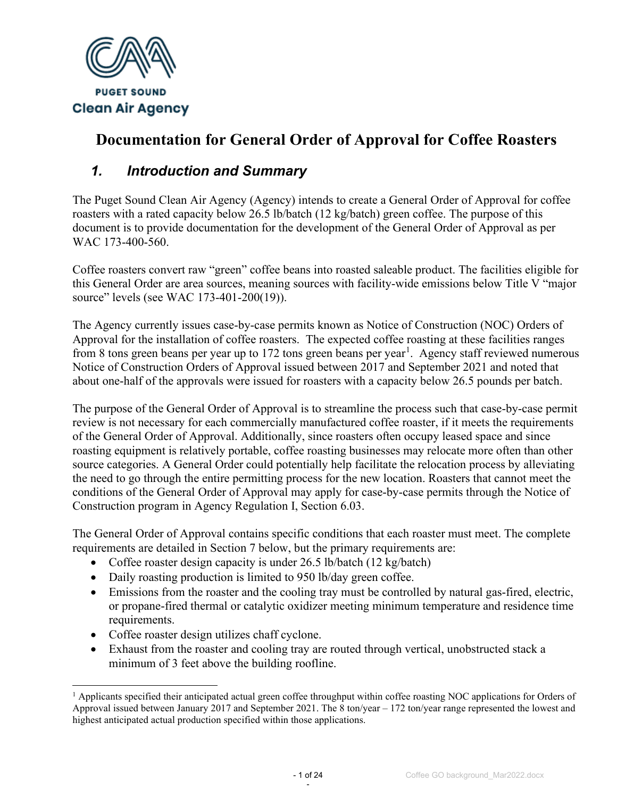

# **Documentation for General Order of Approval for Coffee Roasters**

### *1. Introduction and Summary*

The Puget Sound Clean Air Agency (Agency) intends to create a General Order of Approval for coffee roasters with a rated capacity below 26.5 lb/batch (12 kg/batch) green coffee. The purpose of this document is to provide documentation for the development of the General Order of Approval as per WAC 173-400-560.

Coffee roasters convert raw "green" coffee beans into roasted saleable product. The facilities eligible for this General Order are area sources, meaning sources with facility-wide emissions below Title V "major source" levels (see WAC 173-401-200(19)).

The Agency currently issues case-by-case permits known as Notice of Construction (NOC) Orders of Approval for the installation of coffee roasters. The expected coffee roasting at these facilities ranges from 8 tons green beans per year up to [1](#page-0-0)72 tons green beans per year<sup>1</sup>. Agency staff reviewed numerous Notice of Construction Orders of Approval issued between 2017 and September 2021 and noted that about one-half of the approvals were issued for roasters with a capacity below 26.5 pounds per batch.

The purpose of the General Order of Approval is to streamline the process such that case-by-case permit review is not necessary for each commercially manufactured coffee roaster, if it meets the requirements of the General Order of Approval. Additionally, since roasters often occupy leased space and since roasting equipment is relatively portable, coffee roasting businesses may relocate more often than other source categories. A General Order could potentially help facilitate the relocation process by alleviating the need to go through the entire permitting process for the new location. Roasters that cannot meet the conditions of the General Order of Approval may apply for case-by-case permits through the Notice of Construction program in Agency Regulation I, Section 6.03.

The General Order of Approval contains specific conditions that each roaster must meet. The complete requirements are detailed in Section [7](#page-20-0) below, but the primary requirements are:

- Coffee roaster design capacity is under 26.5 lb/batch (12 kg/batch)
- Daily roasting production is limited to 950 lb/day green coffee.
- Emissions from the roaster and the cooling tray must be controlled by natural gas-fired, electric, or propane-fired thermal or catalytic oxidizer meeting minimum temperature and residence time requirements.
- Coffee roaster design utilizes chaff cyclone.
- Exhaust from the roaster and cooling tray are routed through vertical, unobstructed stack a minimum of 3 feet above the building roofline.

<span id="page-0-0"></span><sup>&</sup>lt;sup>1</sup> Applicants specified their anticipated actual green coffee throughput within coffee roasting NOC applications for Orders of Approval issued between January 2017 and September 2021. The 8 ton/year – 172 ton/year range represented the lowest and highest anticipated actual production specified within those applications.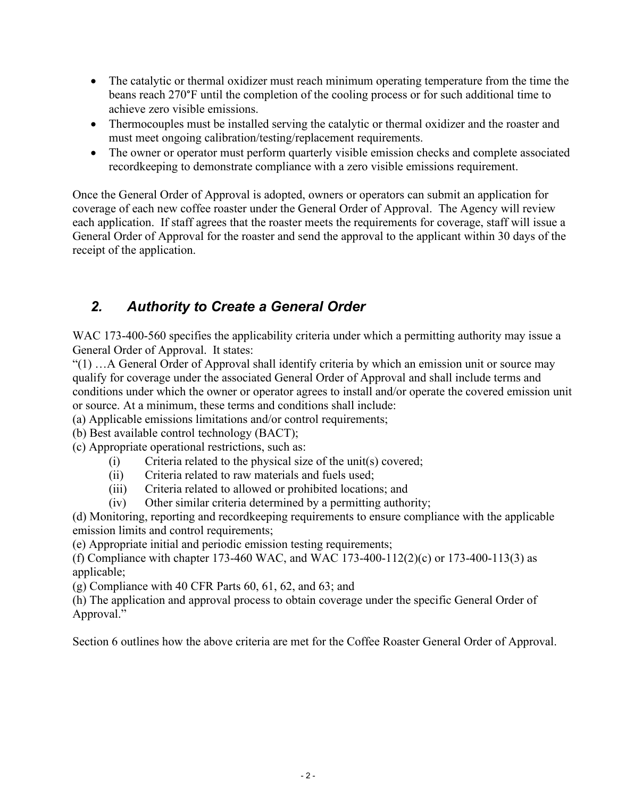- The catalytic or thermal oxidizer must reach minimum operating temperature from the time the beans reach 270°F until the completion of the cooling process or for such additional time to achieve zero visible emissions.
- Thermocouples must be installed serving the catalytic or thermal oxidizer and the roaster and must meet ongoing calibration/testing/replacement requirements.
- The owner or operator must perform quarterly visible emission checks and complete associated recordkeeping to demonstrate compliance with a zero visible emissions requirement.

Once the General Order of Approval is adopted, owners or operators can submit an application for coverage of each new coffee roaster under the General Order of Approval. The Agency will review each application. If staff agrees that the roaster meets the requirements for coverage, staff will issue a General Order of Approval for the roaster and send the approval to the applicant within 30 days of the receipt of the application.

# <span id="page-1-0"></span>*2. Authority to Create a General Order*

WAC 173-400-560 specifies the applicability criteria under which a permitting authority may issue a General Order of Approval. It states:

"(1) …A General Order of Approval shall identify criteria by which an emission unit or source may qualify for coverage under the associated General Order of Approval and shall include terms and conditions under which the owner or operator agrees to install and/or operate the covered emission unit or source. At a minimum, these terms and conditions shall include:

(a) Applicable emissions limitations and/or control requirements;

(b) Best available control technology (BACT);

(c) Appropriate operational restrictions, such as:

- (i) Criteria related to the physical size of the unit(s) covered;
- (ii) Criteria related to raw materials and fuels used;
- (iii) Criteria related to allowed or prohibited locations; and
- (iv) Other similar criteria determined by a permitting authority;

(d) Monitoring, reporting and recordkeeping requirements to ensure compliance with the applicable emission limits and control requirements;

(e) Appropriate initial and periodic emission testing requirements;

(f) Compliance with chapter 173-460 WAC, and WAC 173-400-112(2)(c) or 173-400-113(3) as applicable;

 $(g)$  Compliance with 40 CFR Parts 60, 61, 62, and 63; and

(h) The application and approval process to obtain coverage under the specific General Order of Approval."

Section [6](#page-3-0) outlines how the above criteria are met for the Coffee Roaster General Order of Approval.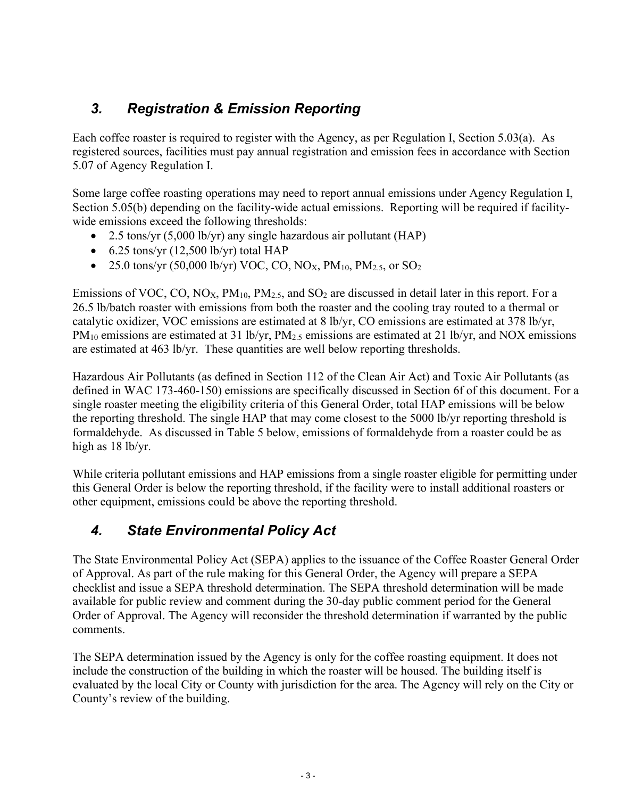# <span id="page-2-0"></span>*3. Registration & Emission Reporting*

Each coffee roaster is required to register with the Agency, as per Regulation I, Section 5.03(a). As registered sources, facilities must pay annual registration and emission fees in accordance with Section 5.07 of Agency Regulation I.

Some large coffee roasting operations may need to report annual emissions under Agency Regulation I, Section 5.05(b) depending on the facility-wide actual emissions. Reporting will be required if facilitywide emissions exceed the following thresholds:

- 2.5 tons/yr  $(5,000 \text{ lb/yr})$  any single hazardous air pollutant  $(HAP)$
- $\bullet$  6.25 tons/yr (12,500 lb/yr) total HAP
- 25.0 tons/yr (50,000 lb/yr) VOC, CO, NO<sub>X</sub>, PM<sub>10</sub>, PM<sub>2.5</sub>, or SO<sub>2</sub>

Emissions of VOC, CO, NO<sub>X</sub>, PM<sub>10</sub>, PM<sub>2.5</sub>, and SO<sub>2</sub> are discussed in detail later in this report. For a 26.5 lb/batch roaster with emissions from both the roaster and the cooling tray routed to a thermal or catalytic oxidizer, VOC emissions are estimated at 8 lb/yr, CO emissions are estimated at 378 lb/yr, PM<sub>10</sub> emissions are estimated at 31 lb/yr, PM<sub>2.5</sub> emissions are estimated at 21 lb/yr, and NOX emissions are estimated at 463 lb/yr. These quantities are well below reporting thresholds.

Hazardous Air Pollutants (as defined in Section 112 of the Clean Air Act) and Toxic Air Pollutants (as defined in WAC 173-460-150) emissions are specifically discussed in Section [6](#page-3-0)[f](#page-15-0) of this document. For a single roaster meeting the eligibility criteria of this General Order, total HAP emissions will be below the reporting threshold. The single HAP that may come closest to the 5000 lb/yr reporting threshold is formaldehyde. As discussed in Table 5 below, emissions of formaldehyde from a roaster could be as high as 18 lb/yr.

While criteria pollutant emissions and HAP emissions from a single roaster eligible for permitting under this General Order is below the reporting threshold, if the facility were to install additional roasters or other equipment, emissions could be above the reporting threshold.

# <span id="page-2-1"></span>*4. State Environmental Policy Act*

The State Environmental Policy Act (SEPA) applies to the issuance of the Coffee Roaster General Order of Approval. As part of the rule making for this General Order, the Agency will prepare a SEPA checklist and issue a SEPA threshold determination. The SEPA threshold determination will be made available for public review and comment during the 30-day public comment period for the General Order of Approval. The Agency will reconsider the threshold determination if warranted by the public comments.

The SEPA determination issued by the Agency is only for the coffee roasting equipment. It does not include the construction of the building in which the roaster will be housed. The building itself is evaluated by the local City or County with jurisdiction for the area. The Agency will rely on the City or County's review of the building.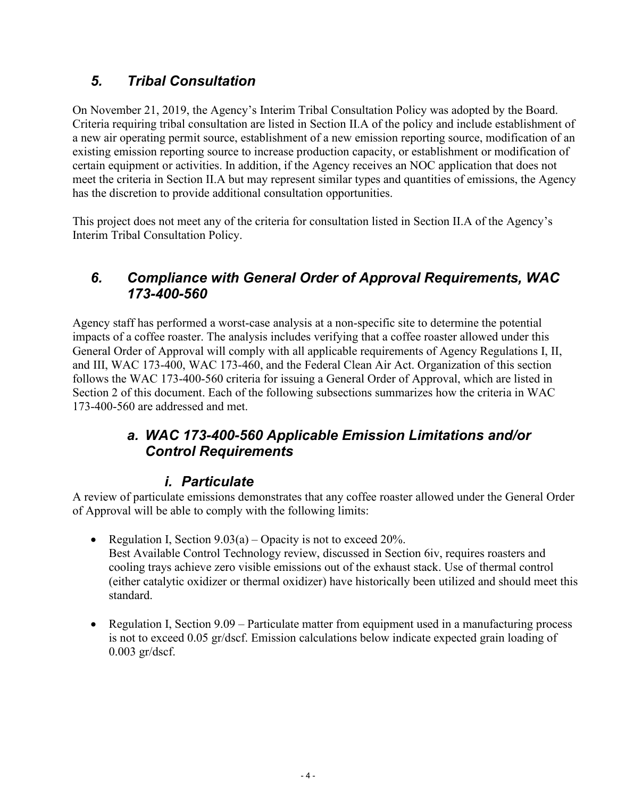# <span id="page-3-1"></span>*5. Tribal Consultation*

On November 21, 2019, the Agency's Interim Tribal Consultation Policy was adopted by the Board. Criteria requiring tribal consultation are listed in Section II.A of the policy and include establishment of a new air operating permit source, establishment of a new emission reporting source, modification of an existing emission reporting source to increase production capacity, or establishment or modification of certain equipment or activities. In addition, if the Agency receives an NOC application that does not meet the criteria in Section II.A but may represent similar types and quantities of emissions, the Agency has the discretion to provide additional consultation opportunities.

This project does not meet any of the criteria for consultation listed in Section II.A of the Agency's Interim Tribal Consultation Policy.

### <span id="page-3-0"></span>*6. Compliance with General Order of Approval Requirements, WAC 173-400-560*

Agency staff has performed a worst-case analysis at a non-specific site to determine the potential impacts of a coffee roaster. The analysis includes verifying that a coffee roaster allowed under this General Order of Approval will comply with all applicable requirements of Agency Regulations I, II, and III, WAC 173-400, WAC 173-460, and the Federal Clean Air Act. Organization of this section follows the WAC 173-400-560 criteria for issuing a General Order of Approval, which are listed in Section [2](#page-1-0) of this document. Each of the following subsections summarizes how the criteria in WAC 173-400-560 are addressed and met.

## *a. WAC 173-400-560 Applicable Emission Limitations and/or Control Requirements*

### *i. Particulate*

A review of particulate emissions demonstrates that any coffee roaster allowed under the General Order of Approval will be able to comply with the following limits:

- Regulation I, Section  $9.03(a)$  Opacity is not to exceed 20%. Best Available Control Technology review, discussed in Section [6](#page-3-0)[iv,](#page-5-0) requires roasters and cooling trays achieve zero visible emissions out of the exhaust stack. Use of thermal control (either catalytic oxidizer or thermal oxidizer) have historically been utilized and should meet this standard.
- Regulation I, Section 9.09 Particulate matter from equipment used in a manufacturing process is not to exceed 0.05 gr/dscf. Emission calculations below indicate expected grain loading of 0.003 gr/dscf.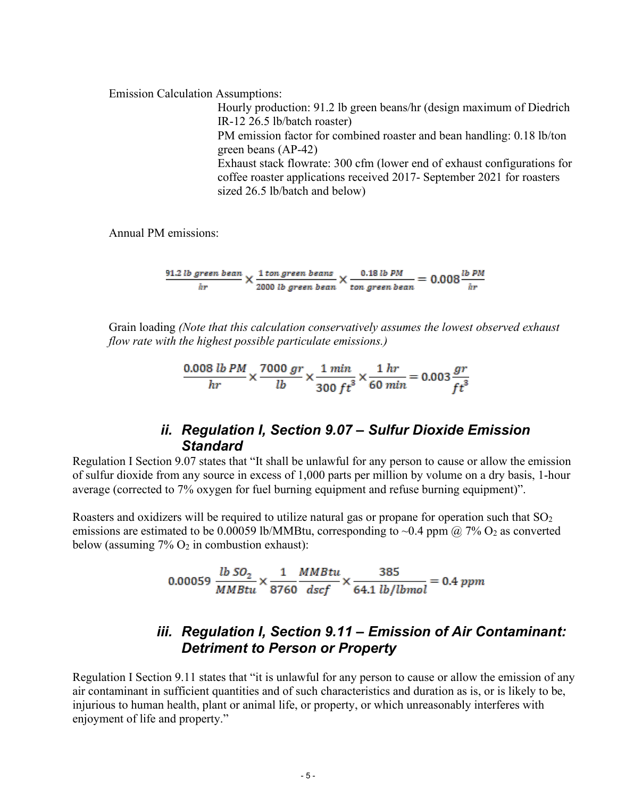Emission Calculation Assumptions:

Hourly production: 91.2 lb green beans/hr (design maximum of Diedrich IR-12 26.5 lb/batch roaster) PM emission factor for combined roaster and bean handling: 0.18 lb/ton green beans (AP-42) Exhaust stack flowrate: 300 cfm (lower end of exhaust configurations for coffee roaster applications received 2017- September 2021 for roasters sized 26.5 lb/batch and below)

Annual PM emissions:

 $\frac{91.2\;lb\;green\;beam}{hr} \times \frac{1\;ton\;green\;beam}{2000\;lb\;green\;beam} \times \frac{0.18\;lb\;PM}{ton\;green\;beam} = 0.008 \frac{lb\;PM}{hr}$ 

Grain loading *(Note that this calculation conservatively assumes the lowest observed exhaust flow rate with the highest possible particulate emissions.)*

$$
\frac{0.008 \; lb \; PM}{hr} \times \frac{7000 \; gr}{lb} \times \frac{1 \; min}{300 \; ft^3} \times \frac{1 \; hr}{60 \; min} = 0.003 \frac{gr}{ft^3}
$$

### *ii. Regulation I, Section 9.07 – Sulfur Dioxide Emission Standard*

Regulation I Section 9.07 states that "It shall be unlawful for any person to cause or allow the emission of sulfur dioxide from any source in excess of 1,000 parts per million by volume on a dry basis, 1-hour average (corrected to 7% oxygen for fuel burning equipment and refuse burning equipment)".

Roasters and oxidizers will be required to utilize natural gas or propane for operation such that SO<sub>2</sub> emissions are estimated to be 0.00059 lb/MMBtu, corresponding to  $\sim$ 0.4 ppm @ 7% O<sub>2</sub> as converted below (assuming  $7\%$  O<sub>2</sub> in combustion exhaust):

$$
0.00059 \frac{lb \, SO_2}{MMBtu} \times \frac{1}{8760} \frac{MMBtu}{dscf} \times \frac{385}{64.1 \, lb/lbmol} = 0.4 \, ppm
$$

### *iii. Regulation I, Section 9.11 – Emission of Air Contaminant: Detriment to Person or Property*

Regulation I Section 9.11 states that "it is unlawful for any person to cause or allow the emission of any air contaminant in sufficient quantities and of such characteristics and duration as is, or is likely to be, injurious to human health, plant or animal life, or property, or which unreasonably interferes with enjoyment of life and property."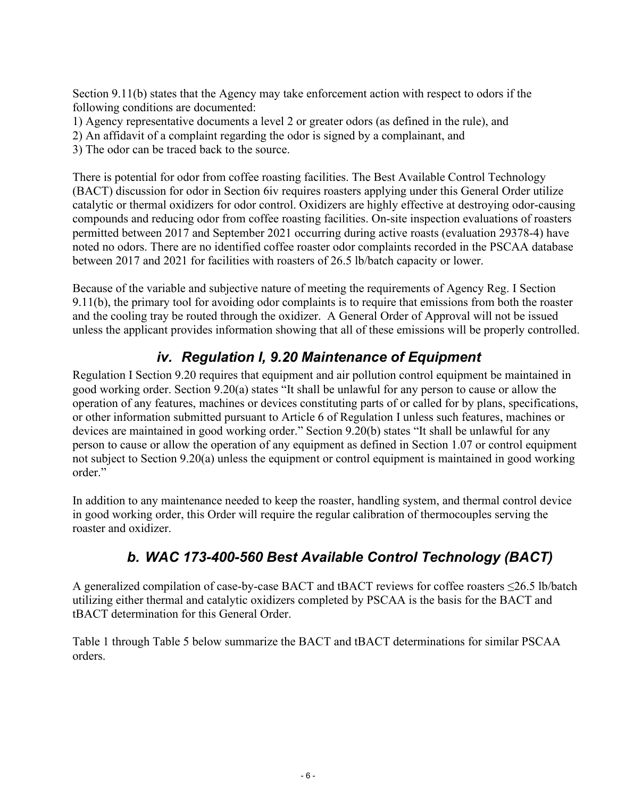Section 9.11(b) states that the Agency may take enforcement action with respect to odors if the following conditions are documented:

1) Agency representative documents a level 2 or greater odors (as defined in the rule), and

2) An affidavit of a complaint regarding the odor is signed by a complainant, and

3) The odor can be traced back to the source.

There is potential for odor from coffee roasting facilities. The Best Available Control Technology (BACT) discussion for odor in Section [6](#page-3-0)[iv](#page-5-0) requires roasters applying under this General Order utilize catalytic or thermal oxidizers for odor control. Oxidizers are highly effective at destroying odor-causing compounds and reducing odor from coffee roasting facilities. On-site inspection evaluations of roasters permitted between 2017 and September 2021 occurring during active roasts (evaluation 29378-4) have noted no odors. There are no identified coffee roaster odor complaints recorded in the PSCAA database between 2017 and 2021 for facilities with roasters of 26.5 lb/batch capacity or lower.

Because of the variable and subjective nature of meeting the requirements of Agency Reg. I Section 9.11(b), the primary tool for avoiding odor complaints is to require that emissions from both the roaster and the cooling tray be routed through the oxidizer. A General Order of Approval will not be issued unless the applicant provides information showing that all of these emissions will be properly controlled.

## *iv. Regulation I, 9.20 Maintenance of Equipment*

<span id="page-5-0"></span>Regulation I Section 9.20 requires that equipment and air pollution control equipment be maintained in good working order. Section 9.20(a) states "It shall be unlawful for any person to cause or allow the operation of any features, machines or devices constituting parts of or called for by plans, specifications, or other information submitted pursuant to Article 6 of Regulation I unless such features, machines or devices are maintained in good working order." Section 9.20(b) states "It shall be unlawful for any person to cause or allow the operation of any equipment as defined in Section 1.07 or control equipment not subject to Section 9.20(a) unless the equipment or control equipment is maintained in good working order."

In addition to any maintenance needed to keep the roaster, handling system, and thermal control device in good working order, this Order will require the regular calibration of thermocouples serving the roaster and oxidizer.

## *b. WAC 173-400-560 Best Available Control Technology (BACT)*

A generalized compilation of case-by-case BACT and tBACT reviews for coffee roasters ≤26.5 lb/batch utilizing either thermal and catalytic oxidizers completed by PSCAA is the basis for the BACT and tBACT determination for this General Order.

[Table 1](#page-6-0) through [Table 5](#page-7-0) below summarize the BACT and tBACT determinations for similar PSCAA orders.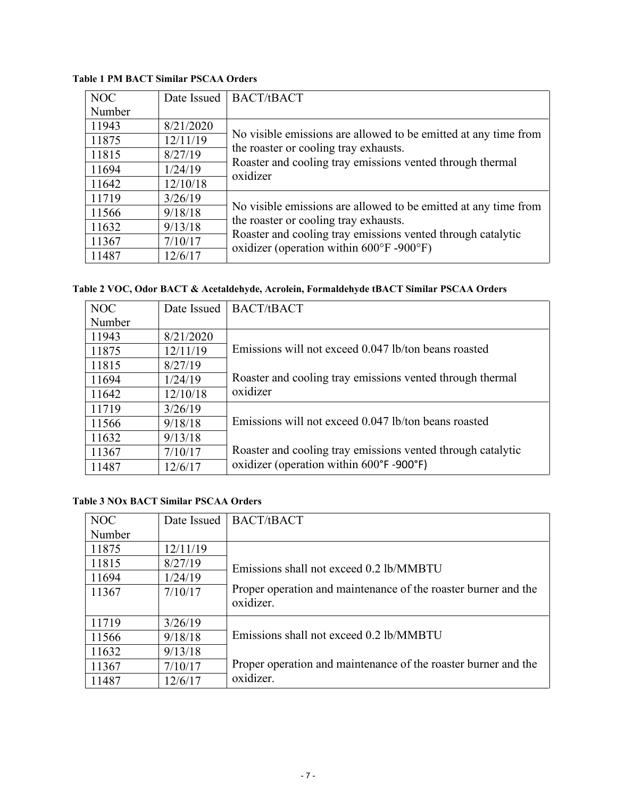| NOC    | Date Issued | <b>BACT/tBACT</b>                                                                                                                                                                                                             |
|--------|-------------|-------------------------------------------------------------------------------------------------------------------------------------------------------------------------------------------------------------------------------|
| Number |             |                                                                                                                                                                                                                               |
| 11943  | 8/21/2020   |                                                                                                                                                                                                                               |
| 11875  | 12/11/19    | No visible emissions are allowed to be emitted at any time from                                                                                                                                                               |
| 11815  | 8/27/19     | the roaster or cooling tray exhausts.                                                                                                                                                                                         |
| 11694  | 1/24/19     | Roaster and cooling tray emissions vented through thermal<br>oxidizer                                                                                                                                                         |
| 11642  | 12/10/18    |                                                                                                                                                                                                                               |
| 11719  | 3/26/19     |                                                                                                                                                                                                                               |
| 11566  | 9/18/18     | No visible emissions are allowed to be emitted at any time from<br>the roaster or cooling tray exhausts.<br>Roaster and cooling tray emissions vented through catalytic<br>oxidizer (operation within $600^{\circ}$ F -900°F) |
| 11632  | 9/13/18     |                                                                                                                                                                                                                               |
| 11367  | 7/10/17     |                                                                                                                                                                                                                               |
| 11487  | 12/6/17     |                                                                                                                                                                                                                               |

<span id="page-6-0"></span>**Table 1 PM BACT Similar PSCAA Orders**

| <b>NOC</b> |           | Date Issued   BACT/tBACT                                    |
|------------|-----------|-------------------------------------------------------------|
| Number     |           |                                                             |
| 11943      | 8/21/2020 |                                                             |
| 11875      | 12/11/19  | Emissions will not exceed 0.047 lb/ton beans roasted        |
| 11815      | 8/27/19   |                                                             |
| 11694      | 1/24/19   | Roaster and cooling tray emissions vented through thermal   |
| 11642      | 12/10/18  | oxidizer                                                    |
| 11719      | 3/26/19   |                                                             |
| 11566      | 9/18/18   | Emissions will not exceed 0.047 lb/ton beans roasted        |
| 11632      | 9/13/18   |                                                             |
| 11367      | 7/10/17   | Roaster and cooling tray emissions vented through catalytic |
| 11487      | 12/6/17   | oxidizer (operation within 600°F -900°F)                    |

#### **Table 3 NOx BACT Similar PSCAA Orders**

| NOC    | Date Issued | BACT/tBACT                                                     |
|--------|-------------|----------------------------------------------------------------|
| Number |             |                                                                |
| 11875  | 12/11/19    |                                                                |
| 11815  | 8/27/19     | Emissions shall not exceed 0.2 lb/MMBTU                        |
| 11694  | 1/24/19     |                                                                |
| 11367  | 7/10/17     | Proper operation and maintenance of the roaster burner and the |
|        |             | oxidizer.                                                      |
| 11719  | 3/26/19     |                                                                |
| 11566  | 9/18/18     | Emissions shall not exceed 0.2 lb/MMBTU                        |
| 11632  | 9/13/18     |                                                                |
| 11367  | 7/10/17     | Proper operation and maintenance of the roaster burner and the |
| 11487  | 12/6/17     | oxidizer.                                                      |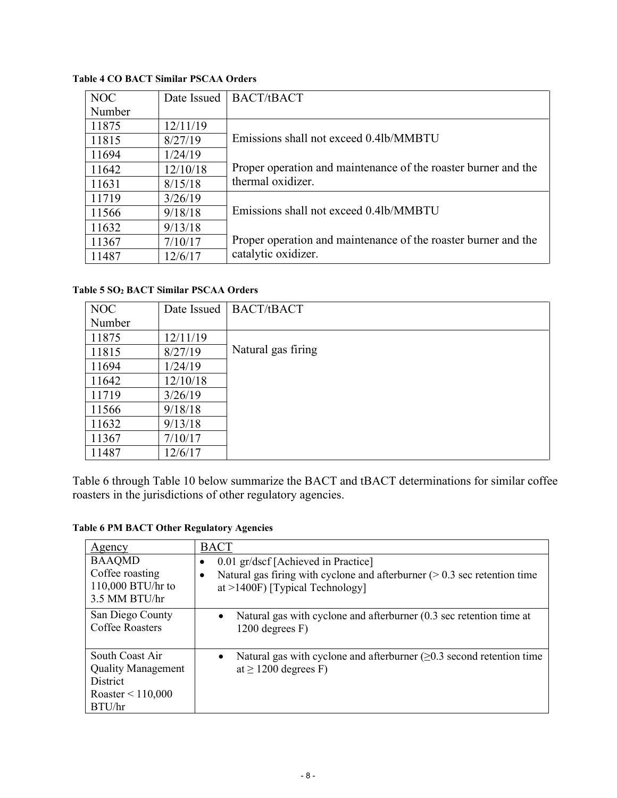| <b>NOC</b> | Date Issued | <b>BACT/tBACT</b>                                              |
|------------|-------------|----------------------------------------------------------------|
| Number     |             |                                                                |
| 11875      | 12/11/19    |                                                                |
| 11815      | 8/27/19     | Emissions shall not exceed 0.4lb/MMBTU                         |
| 11694      | 1/24/19     |                                                                |
| 11642      | 12/10/18    | Proper operation and maintenance of the roaster burner and the |
| 11631      | 8/15/18     | thermal oxidizer.                                              |
| 11719      | 3/26/19     |                                                                |
| 11566      | 9/18/18     | Emissions shall not exceed 0.4lb/MMBTU                         |
| 11632      | 9/13/18     |                                                                |
| 11367      | 7/10/17     | Proper operation and maintenance of the roaster burner and the |
| 11487      | 12/6/17     | catalytic oxidizer.                                            |

**Table 4 CO BACT Similar PSCAA Orders**

<span id="page-7-0"></span>**Table 5 SO2 BACT Similar PSCAA Orders**

| <b>NOC</b> |          | Date Issued   BACT/tBACT |
|------------|----------|--------------------------|
| Number     |          |                          |
| 11875      | 12/11/19 |                          |
| 11815      | 8/27/19  | Natural gas firing       |
| 11694      | 1/24/19  |                          |
| 11642      | 12/10/18 |                          |
| 11719      | 3/26/19  |                          |
| 11566      | 9/18/18  |                          |
| 11632      | 9/13/18  |                          |
| 11367      | 7/10/17  |                          |
| 11487      | 12/6/17  |                          |

[Table 6](#page-7-1) through [Table 10](#page-8-0) below summarize the BACT and tBACT determinations for similar coffee roasters in the jurisdictions of other regulatory agencies.

<span id="page-7-1"></span>

| Agency                                                                                           | <b>BACT</b>                                                                                                                                                           |
|--------------------------------------------------------------------------------------------------|-----------------------------------------------------------------------------------------------------------------------------------------------------------------------|
| <b>BAAQMD</b><br>Coffee roasting<br>110,000 BTU/hr to<br>3.5 MM BTU/hr                           | 0.01 gr/dscf [Achieved in Practice]<br>$\bullet$<br>Natural gas firing with cyclone and afterburner $(> 0.3$ sec retention time<br>at $>1400$ F) [Typical Technology] |
| San Diego County<br>Coffee Roasters                                                              | Natural gas with cyclone and afterburner (0.3 sec retention time at<br>$\bullet$<br>$1200$ degrees $F$ )                                                              |
| South Coast Air<br><b>Quality Management</b><br><b>District</b><br>Roaster $<$ 110,000<br>BTU/hr | Natural gas with cyclone and afterburner $(\geq 0.3$ second retention time<br>$\bullet$<br>at $\geq$ 1200 degrees F)                                                  |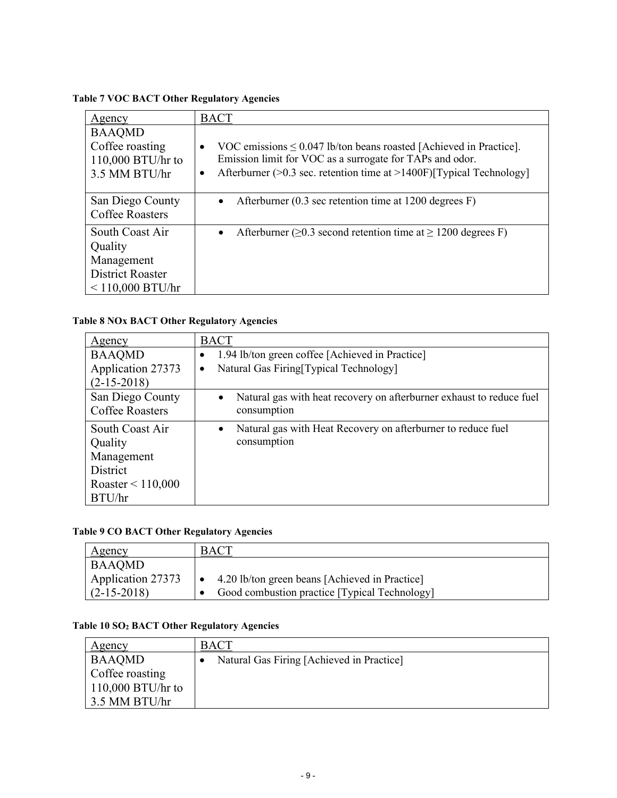### **Table 7 VOC BACT Other Regulatory Agencies**

| Agency                                                                                    | <b>BACT</b>                                                                                                                                                                                                                         |
|-------------------------------------------------------------------------------------------|-------------------------------------------------------------------------------------------------------------------------------------------------------------------------------------------------------------------------------------|
| <b>BAAQMD</b><br>Coffee roasting<br>$110,000$ BTU/hr to<br>3.5 MM BTU/hr                  | VOC emissions $\leq$ 0.047 lb/ton beans roasted [Achieved in Practice].<br>٠<br>Emission limit for VOC as a surrogate for TAPs and odor.<br>Afterburner ( $>0.3$ sec. retention time at $>1400$ F)[Typical Technology]<br>$\bullet$ |
| San Diego County<br><b>Coffee Roasters</b>                                                | Afterburner (0.3 sec retention time at 1200 degrees F)                                                                                                                                                                              |
| South Coast Air<br>Quality<br>Management<br><b>District Roaster</b><br>$< 110,000$ BTU/hr | Afterburner ( $\geq 0.3$ second retention time at $\geq 1200$ degrees F)<br>$\bullet$                                                                                                                                               |

#### **Table 8 NOx BACT Other Regulatory Agencies**

| Agency                 | <b>BACT</b>                                                                       |
|------------------------|-----------------------------------------------------------------------------------|
| <b>BAAQMD</b>          | 1.94 lb/ton green coffee [Achieved in Practice]                                   |
| Application 27373      | Natural Gas Firing[Typical Technology]<br>$\bullet$                               |
| $(2-15-2018)$          |                                                                                   |
| San Diego County       | Natural gas with heat recovery on afterburner exhaust to reduce fuel<br>$\bullet$ |
| <b>Coffee Roasters</b> | consumption                                                                       |
| South Coast Air        | Natural gas with Heat Recovery on afterburner to reduce fuel<br>$\bullet$         |
| Quality                | consumption                                                                       |
| Management             |                                                                                   |
| District               |                                                                                   |
| Roaster $\leq 110,000$ |                                                                                   |
| BTU/hr                 |                                                                                   |

### **Table 9 CO BACT Other Regulatory Agencies**

| <u>Agency</u>     | <b>BACT</b>                                    |
|-------------------|------------------------------------------------|
| <b>BAAQMD</b>     |                                                |
| Application 27373 | 4.20 lb/ton green beans [Achieved in Practice] |
| $(2-15-2018)$     | Good combustion practice [Typical Technology]  |

#### <span id="page-8-0"></span>**Table 10 SO2 BACT Other Regulatory Agencies**

| <u>Agency</u>       | BACT                                      |
|---------------------|-------------------------------------------|
| BAAQMD              | Natural Gas Firing [Achieved in Practice] |
| Coffee roasting     |                                           |
| $110,000$ BTU/hr to |                                           |
| 3.5 MM BTU/hr       |                                           |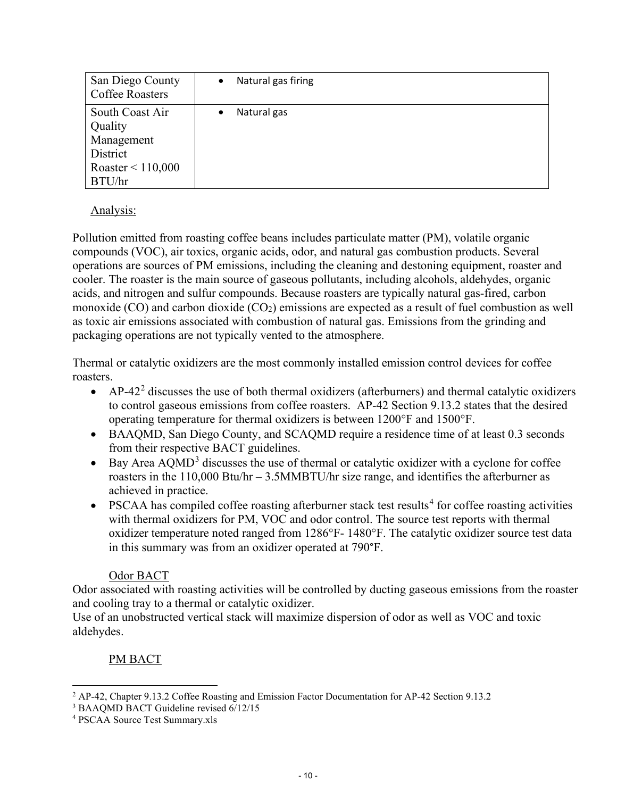| San Diego County                                                                         | Natural gas firing |
|------------------------------------------------------------------------------------------|--------------------|
| <b>Coffee Roasters</b>                                                                   | $\bullet$          |
| South Coast Air<br>Quality<br>Management<br>District<br>Roaster $\leq 110,000$<br>BTU/hr | Natural gas        |

#### Analysis:

Pollution emitted from roasting coffee beans includes particulate matter (PM), volatile organic compounds (VOC), air toxics, organic acids, odor, and natural gas combustion products. Several operations are sources of PM emissions, including the cleaning and destoning equipment, roaster and cooler. The roaster is the main source of gaseous pollutants, including alcohols, aldehydes, organic acids, and nitrogen and sulfur compounds. Because roasters are typically natural gas-fired, carbon monoxide (CO) and carbon dioxide (CO2) emissions are expected as a result of fuel combustion as well as toxic air emissions associated with combustion of natural gas. Emissions from the grinding and packaging operations are not typically vented to the atmosphere.

Thermal or catalytic oxidizers are the most commonly installed emission control devices for coffee roasters.

- AP-4[2](#page-9-0)<sup>2</sup> discusses the use of both thermal oxidizers (afterburners) and thermal catalytic oxidizers to control gaseous emissions from coffee roasters. AP-42 Section 9.13.2 states that the desired operating temperature for thermal oxidizers is between 1200°F and 1500°F.
- BAAQMD, San Diego County, and SCAQMD require a residence time of at least 0.3 seconds from their respective BACT guidelines.
- Bay Area  $AQMD<sup>3</sup>$  $AQMD<sup>3</sup>$  $AQMD<sup>3</sup>$  discusses the use of thermal or catalytic oxidizer with a cyclone for coffee roasters in the 110,000 Btu/hr – 3.5MMBTU/hr size range, and identifies the afterburner as achieved in practice.
- PSCAA has compiled coffee roasting afterburner stack test results<sup>[4](#page-9-2)</sup> for coffee roasting activities with thermal oxidizers for PM, VOC and odor control. The source test reports with thermal oxidizer temperature noted ranged from 1286°F- 1480°F. The catalytic oxidizer source test data in this summary was from an oxidizer operated at 790°F.

### Odor BACT

Odor associated with roasting activities will be controlled by ducting gaseous emissions from the roaster and cooling tray to a thermal or catalytic oxidizer.

Use of an unobstructed vertical stack will maximize dispersion of odor as well as VOC and toxic aldehydes.

### PM BACT

<span id="page-9-0"></span><sup>2</sup> AP-42, Chapter 9.13.2 Coffee Roasting and Emission Factor Documentation for AP-42 Section 9.13.2

<span id="page-9-1"></span><sup>3</sup> BAAQMD BACT Guideline revised 6/12/15

<span id="page-9-2"></span><sup>4</sup> PSCAA Source Test Summary.xls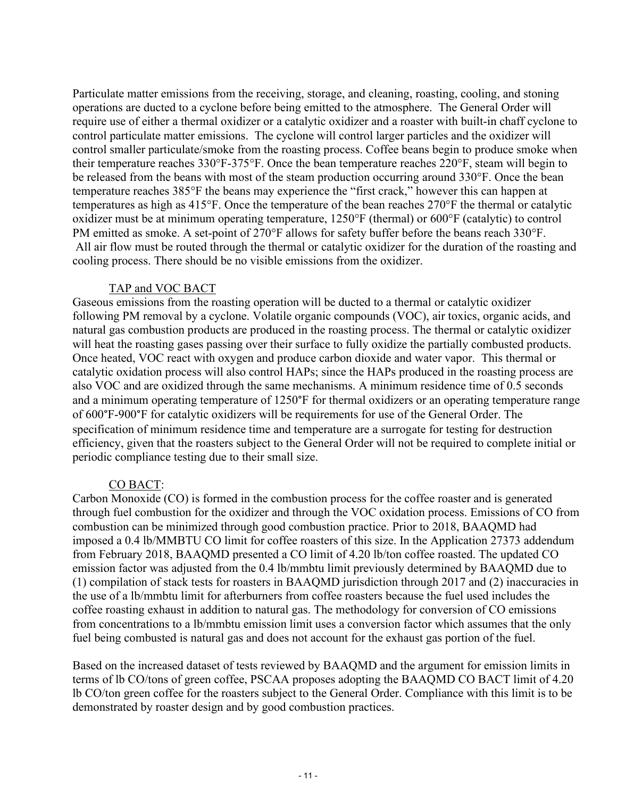Particulate matter emissions from the receiving, storage, and cleaning, roasting, cooling, and stoning operations are ducted to a cyclone before being emitted to the atmosphere. The General Order will require use of either a thermal oxidizer or a catalytic oxidizer and a roaster with built-in chaff cyclone to control particulate matter emissions. The cyclone will control larger particles and the oxidizer will control smaller particulate/smoke from the roasting process. Coffee beans begin to produce smoke when their temperature reaches 330°F-375°F. Once the bean temperature reaches 220°F, steam will begin to be released from the beans with most of the steam production occurring around 330°F. Once the bean temperature reaches 385°F the beans may experience the "first crack," however this can happen at temperatures as high as 415°F. Once the temperature of the bean reaches 270°F the thermal or catalytic oxidizer must be at minimum operating temperature, 1250°F (thermal) or 600°F (catalytic) to control PM emitted as smoke. A set-point of 270°F allows for safety buffer before the beans reach 330°F. All air flow must be routed through the thermal or catalytic oxidizer for the duration of the roasting and cooling process. There should be no visible emissions from the oxidizer.

#### TAP and VOC BACT

Gaseous emissions from the roasting operation will be ducted to a thermal or catalytic oxidizer following PM removal by a cyclone. Volatile organic compounds (VOC), air toxics, organic acids, and natural gas combustion products are produced in the roasting process. The thermal or catalytic oxidizer will heat the roasting gases passing over their surface to fully oxidize the partially combusted products. Once heated, VOC react with oxygen and produce carbon dioxide and water vapor. This thermal or catalytic oxidation process will also control HAPs; since the HAPs produced in the roasting process are also VOC and are oxidized through the same mechanisms. A minimum residence time of 0.5 seconds and a minimum operating temperature of 1250°F for thermal oxidizers or an operating temperature range of 600°F-900°F for catalytic oxidizers will be requirements for use of the General Order. The specification of minimum residence time and temperature are a surrogate for testing for destruction efficiency, given that the roasters subject to the General Order will not be required to complete initial or periodic compliance testing due to their small size.

### CO BACT:

Carbon Monoxide (CO) is formed in the combustion process for the coffee roaster and is generated through fuel combustion for the oxidizer and through the VOC oxidation process. Emissions of CO from combustion can be minimized through good combustion practice. Prior to 2018, BAAQMD had imposed a 0.4 lb/MMBTU CO limit for coffee roasters of this size. In the Application 27373 addendum from February 2018, BAAQMD presented a CO limit of 4.20 lb/ton coffee roasted. The updated CO emission factor was adjusted from the 0.4 lb/mmbtu limit previously determined by BAAQMD due to (1) compilation of stack tests for roasters in BAAQMD jurisdiction through 2017 and (2) inaccuracies in the use of a lb/mmbtu limit for afterburners from coffee roasters because the fuel used includes the coffee roasting exhaust in addition to natural gas. The methodology for conversion of CO emissions from concentrations to a lb/mmbtu emission limit uses a conversion factor which assumes that the only fuel being combusted is natural gas and does not account for the exhaust gas portion of the fuel.

Based on the increased dataset of tests reviewed by BAAQMD and the argument for emission limits in terms of lb CO/tons of green coffee, PSCAA proposes adopting the BAAQMD CO BACT limit of 4.20 lb CO/ton green coffee for the roasters subject to the General Order. Compliance with this limit is to be demonstrated by roaster design and by good combustion practices.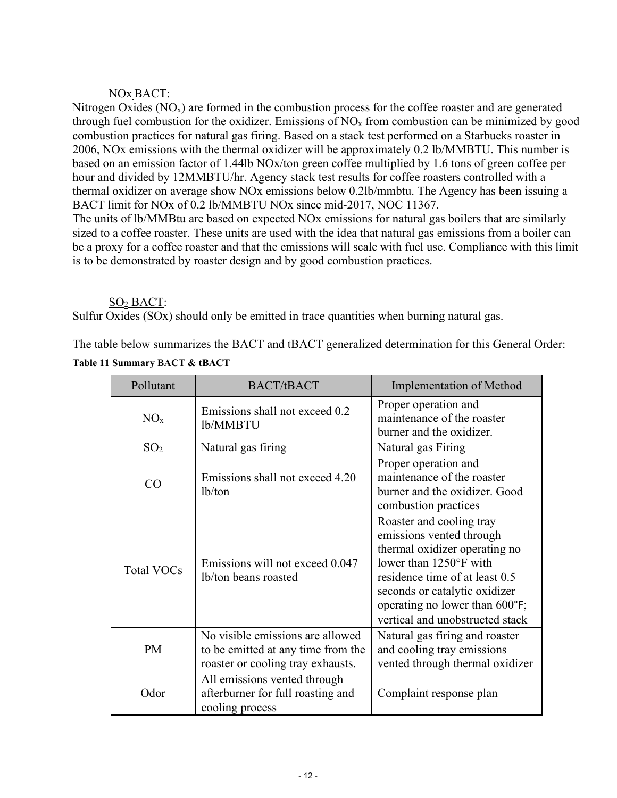#### NOx BACT:

Nitrogen Oxides  $(NO<sub>x</sub>)$  are formed in the combustion process for the coffee roaster and are generated through fuel combustion for the oxidizer. Emissions of  $NO<sub>x</sub>$  from combustion can be minimized by good combustion practices for natural gas firing. Based on a stack test performed on a Starbucks roaster in 2006, NOx emissions with the thermal oxidizer will be approximately 0.2 lb/MMBTU. This number is based on an emission factor of 1.44lb NOx/ton green coffee multiplied by 1.6 tons of green coffee per hour and divided by 12MMBTU/hr. Agency stack test results for coffee roasters controlled with a thermal oxidizer on average show NOx emissions below 0.2lb/mmbtu. The Agency has been issuing a BACT limit for NOx of 0.2 lb/MMBTU NOx since mid-2017, NOC 11367.

The units of lb/MMBtu are based on expected NOx emissions for natural gas boilers that are similarly sized to a coffee roaster. These units are used with the idea that natural gas emissions from a boiler can be a proxy for a coffee roaster and that the emissions will scale with fuel use. Compliance with this limit is to be demonstrated by roaster design and by good combustion practices.

#### SO2 BACT:

Sulfur Oxides (SOx) should only be emitted in trace quantities when burning natural gas.

The table below summarizes the BACT and tBACT generalized determination for this General Order:

<span id="page-11-0"></span>

| Table 11 Summary BACT & tBACT |  |  |
|-------------------------------|--|--|
|-------------------------------|--|--|

| Pollutant                                                                                    | <b>BACT/tBACT</b>                                                                                           | <b>Implementation of Method</b>                                                                                                                                                                                                                                   |
|----------------------------------------------------------------------------------------------|-------------------------------------------------------------------------------------------------------------|-------------------------------------------------------------------------------------------------------------------------------------------------------------------------------------------------------------------------------------------------------------------|
| NO <sub>x</sub>                                                                              | Emissions shall not exceed 0.2<br>lb/MMBTU                                                                  | Proper operation and<br>maintenance of the roaster<br>burner and the oxidizer.                                                                                                                                                                                    |
| SO <sub>2</sub>                                                                              | Natural gas firing                                                                                          | Natural gas Firing                                                                                                                                                                                                                                                |
| CO                                                                                           | Emissions shall not exceed 4.20<br>1 <sub>b</sub> /ton                                                      | Proper operation and<br>maintenance of the roaster<br>burner and the oxidizer. Good<br>combustion practices                                                                                                                                                       |
| <b>Total VOCs</b>                                                                            | Emissions will not exceed 0.047<br>lb/ton beans roasted                                                     | Roaster and cooling tray<br>emissions vented through<br>thermal oxidizer operating no<br>lower than $1250^{\circ}$ F with<br>residence time of at least 0.5<br>seconds or catalytic oxidizer<br>operating no lower than 600°F;<br>vertical and unobstructed stack |
| <b>PM</b>                                                                                    | No visible emissions are allowed<br>to be emitted at any time from the<br>roaster or cooling tray exhausts. | Natural gas firing and roaster<br>and cooling tray emissions<br>vented through thermal oxidizer                                                                                                                                                                   |
| All emissions vented through<br>Odor<br>afterburner for full roasting and<br>cooling process |                                                                                                             | Complaint response plan                                                                                                                                                                                                                                           |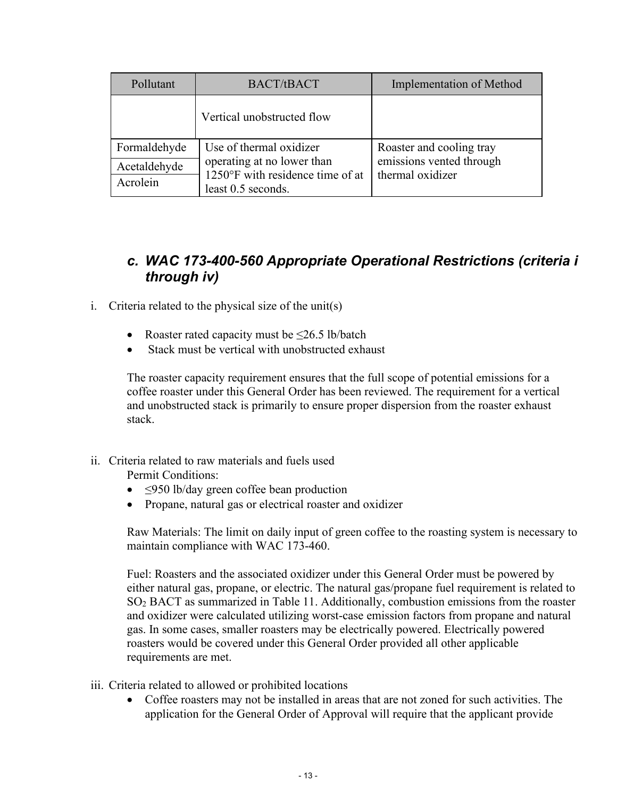| Pollutant    | BACT/tBACT                                             | <b>Implementation of Method</b> |
|--------------|--------------------------------------------------------|---------------------------------|
|              | Vertical unobstructed flow                             |                                 |
| Formaldehyde | Use of thermal oxidizer                                | Roaster and cooling tray        |
| Acetaldehyde | operating at no lower than                             | emissions vented through        |
| Acrolein     | 1250°F with residence time of at<br>least 0.5 seconds. | thermal oxidizer                |

## *c. WAC 173-400-560 Appropriate Operational Restrictions (criteria i through iv)*

- i. Criteria related to the physical size of the unit(s)
	- Roaster rated capacity must be <26.5 lb/batch
	- Stack must be vertical with unobstructed exhaust

The roaster capacity requirement ensures that the full scope of potential emissions for a coffee roaster under this General Order has been reviewed. The requirement for a vertical and unobstructed stack is primarily to ensure proper dispersion from the roaster exhaust stack.

ii. Criteria related to raw materials and fuels used

Permit Conditions:

- ≤950 lb/day green coffee bean production
- Propane, natural gas or electrical roaster and oxidizer

Raw Materials: The limit on daily input of green coffee to the roasting system is necessary to maintain compliance with WAC 173-460.

Fuel: Roasters and the associated oxidizer under this General Order must be powered by either natural gas, propane, or electric. The natural gas/propane fuel requirement is related to SO2 BACT as summarized in [Table 11.](#page-11-0) Additionally, combustion emissions from the roaster and oxidizer were calculated utilizing worst-case emission factors from propane and natural gas. In some cases, smaller roasters may be electrically powered. Electrically powered roasters would be covered under this General Order provided all other applicable requirements are met.

- iii. Criteria related to allowed or prohibited locations
	- Coffee roasters may not be installed in areas that are not zoned for such activities. The application for the General Order of Approval will require that the applicant provide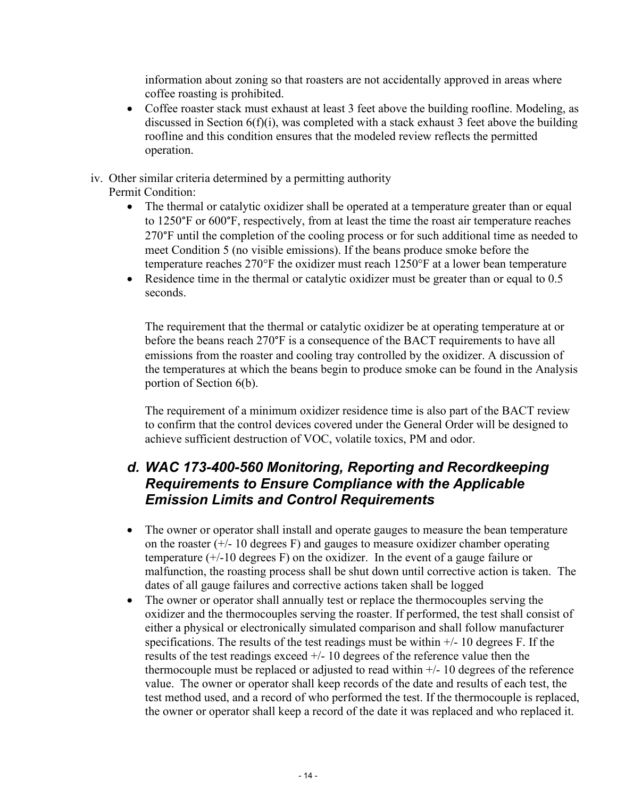information about zoning so that roasters are not accidentally approved in areas where coffee roasting is prohibited.

- Coffee roaster stack must exhaust at least 3 feet above the building roofline. Modeling, as discussed in Section [6\(](#page-3-0)[f\)](#page-15-0)[\(i\)](#page-15-1), was completed with a stack exhaust 3 feet above the building roofline and this condition ensures that the modeled review reflects the permitted operation.
- iv. Other similar criteria determined by a permitting authority Permit Condition:
	- The thermal or catalytic oxidizer shall be operated at a temperature greater than or equal to 1250°F or 600°F, respectively, from at least the time the roast air temperature reaches 270°F until the completion of the cooling process or for such additional time as needed to meet Condition [5](#page-21-0) (no visible emissions). If the beans produce smoke before the temperature reaches 270°F the oxidizer must reach 1250°F at a lower bean temperature
	- Residence time in the thermal or catalytic oxidizer must be greater than or equal to 0.5 seconds.

The requirement that the thermal or catalytic oxidizer be at operating temperature at or before the beans reach 270°F is a consequence of the BACT requirements to have all emissions from the roaster and cooling tray controlled by the oxidizer. A discussion of the temperatures at which the beans begin to produce smoke can be found in the Analysis portion of Section [6](#page-3-0)[\(b\)](#page-5-0).

The requirement of a minimum oxidizer residence time is also part of the BACT review to confirm that the control devices covered under the General Order will be designed to achieve sufficient destruction of VOC, volatile toxics, PM and odor.

### *d. WAC 173-400-560 Monitoring, Reporting and Recordkeeping Requirements to Ensure Compliance with the Applicable Emission Limits and Control Requirements*

- The owner or operator shall install and operate gauges to measure the bean temperature on the roaster  $(+/- 10$  degrees F) and gauges to measure oxidizer chamber operating temperature (+/-10 degrees F) on the oxidizer. In the event of a gauge failure or malfunction, the roasting process shall be shut down until corrective action is taken. The dates of all gauge failures and corrective actions taken shall be logged
- The owner or operator shall annually test or replace the thermocouples serving the oxidizer and the thermocouples serving the roaster. If performed, the test shall consist of either a physical or electronically simulated comparison and shall follow manufacturer specifications. The results of the test readings must be within  $\pm$ /- 10 degrees F. If the results of the test readings exceed +/- 10 degrees of the reference value then the thermocouple must be replaced or adjusted to read within +/- 10 degrees of the reference value. The owner or operator shall keep records of the date and results of each test, the test method used, and a record of who performed the test. If the thermocouple is replaced, the owner or operator shall keep a record of the date it was replaced and who replaced it.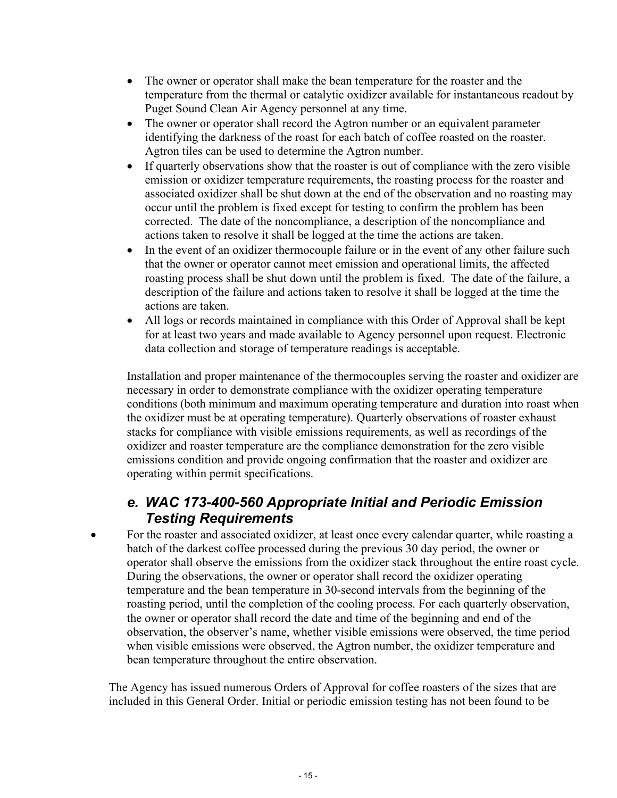- The owner or operator shall make the bean temperature for the roaster and the temperature from the thermal or catalytic oxidizer available for instantaneous readout by Puget Sound Clean Air Agency personnel at any time.
- The owner or operator shall record the Agtron number or an equivalent parameter identifying the darkness of the roast for each batch of coffee roasted on the roaster. Agtron tiles can be used to determine the Agtron number.
- If quarterly observations show that the roaster is out of compliance with the zero visible emission or oxidizer temperature requirements, the roasting process for the roaster and associated oxidizer shall be shut down at the end of the observation and no roasting may occur until the problem is fixed except for testing to confirm the problem has been corrected. The date of the noncompliance, a description of the noncompliance and actions taken to resolve it shall be logged at the time the actions are taken.
- In the event of an oxidizer thermocouple failure or in the event of any other failure such that the owner or operator cannot meet emission and operational limits, the affected roasting process shall be shut down until the problem is fixed. The date of the failure, a description of the failure and actions taken to resolve it shall be logged at the time the actions are taken.
- All logs or records maintained in compliance with this Order of Approval shall be kept for at least two years and made available to Agency personnel upon request. Electronic data collection and storage of temperature readings is acceptable.

Installation and proper maintenance of the thermocouples serving the roaster and oxidizer are necessary in order to demonstrate compliance with the oxidizer operating temperature conditions (both minimum and maximum operating temperature and duration into roast when the oxidizer must be at operating temperature). Quarterly observations of roaster exhaust stacks for compliance with visible emissions requirements, as well as recordings of the oxidizer and roaster temperature are the compliance demonstration for the zero visible emissions condition and provide ongoing confirmation that the roaster and oxidizer are operating within permit specifications.

## *e. WAC 173-400-560 Appropriate Initial and Periodic Emission Testing Requirements*

• For the roaster and associated oxidizer, at least once every calendar quarter, while roasting a batch of the darkest coffee processed during the previous 30 day period, the owner or operator shall observe the emissions from the oxidizer stack throughout the entire roast cycle. During the observations, the owner or operator shall record the oxidizer operating temperature and the bean temperature in 30-second intervals from the beginning of the roasting period, until the completion of the cooling process. For each quarterly observation, the owner or operator shall record the date and time of the beginning and end of the observation, the observer's name, whether visible emissions were observed, the time period when visible emissions were observed, the Agtron number, the oxidizer temperature and bean temperature throughout the entire observation.

The Agency has issued numerous Orders of Approval for coffee roasters of the sizes that are included in this General Order. Initial or periodic emission testing has not been found to be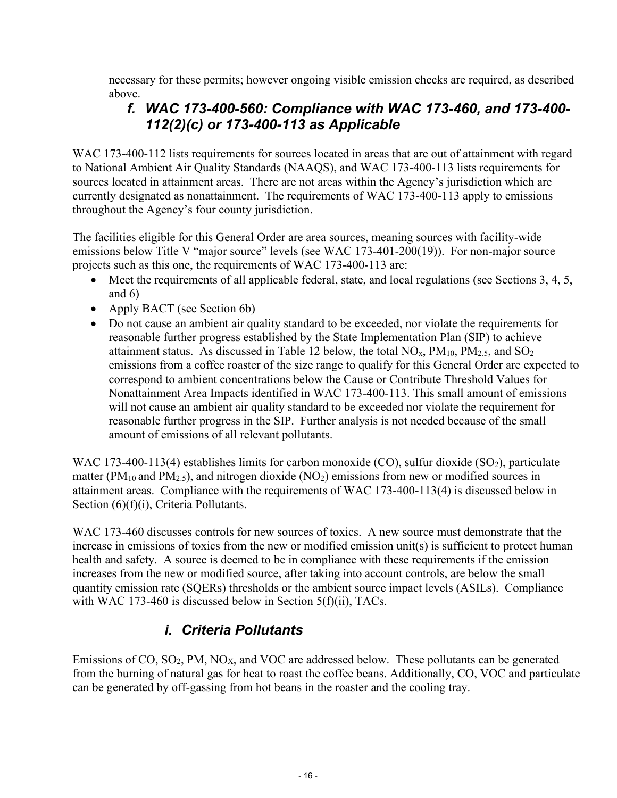<span id="page-15-0"></span>necessary for these permits; however ongoing visible emission checks are required, as described above.

# *f. WAC 173-400-560: Compliance with WAC 173-460, and 173-400- 112(2)(c) or 173-400-113 as Applicable*

WAC 173-400-112 lists requirements for sources located in areas that are out of attainment with regard to National Ambient Air Quality Standards (NAAQS), and WAC 173-400-113 lists requirements for sources located in attainment areas. There are not areas within the Agency's jurisdiction which are currently designated as nonattainment. The requirements of WAC 173-400-113 apply to emissions throughout the Agency's four county jurisdiction.

The facilities eligible for this General Order are area sources, meaning sources with facility-wide emissions below Title V "major source" levels (see WAC 173-401-200(19)). For non-major source projects such as this one, the requirements of WAC 173-400-113 are:

- Meet the requirements of all applicable federal, state, and local regulations (see Sections [3,](#page-2-0) [4,](#page-2-1) [5,](#page-3-1) and  $6)$
- Apply BACT (see Section [6](#page-3-0)[b\)](#page-5-0)
- Do not cause an ambient air quality standard to be exceeded, nor violate the requirements for reasonable further progress established by the State Implementation Plan (SIP) to achieve attainment status. As discussed in [Table 12](#page-16-0) below, the total  $NO<sub>x</sub>$ ,  $PM<sub>10</sub>$ ,  $PM<sub>2.5</sub>$ , and  $SO<sub>2</sub>$ emissions from a coffee roaster of the size range to qualify for this General Order are expected to correspond to ambient concentrations below the Cause or Contribute Threshold Values for Nonattainment Area Impacts identified in WAC 173-400-113. This small amount of emissions will not cause an ambient air quality standard to be exceeded nor violate the requirement for reasonable further progress in the SIP. Further analysis is not needed because of the small amount of emissions of all relevant pollutants.

WAC 173-400-113(4) establishes limits for carbon monoxide  $(CO)$ , sulfur dioxide  $(SO<sub>2</sub>)$ , particulate matter (PM<sub>10</sub> and PM<sub>2.5</sub>), and nitrogen dioxide (NO<sub>2</sub>) emissions from new or modified sources in attainment areas. Compliance with the requirements of WAC 173-400-113(4) is discussed below in Section [\(6\)](#page-3-0)[\(f\)](#page-15-0)[\(i\)](#page-15-1), Criteria Pollutants.

WAC 173-460 discusses controls for new sources of toxics. A new source must demonstrate that the increase in emissions of toxics from the new or modified emission unit(s) is sufficient to protect human health and safety. A source is deemed to be in compliance with these requirements if the emission increases from the new or modified source, after taking into account controls, are below the small quantity emission rate (SQERs) thresholds or the ambient source impact levels (ASILs). Compliance with WAC 173-460 is discussed below in Section 5(f)(ii), TACs.

# *i. Criteria Pollutants*

<span id="page-15-1"></span>Emissions of CO, SO2, PM, NOX, and VOC are addressed below. These pollutants can be generated from the burning of natural gas for heat to roast the coffee beans. Additionally, CO, VOC and particulate can be generated by off-gassing from hot beans in the roaster and the cooling tray.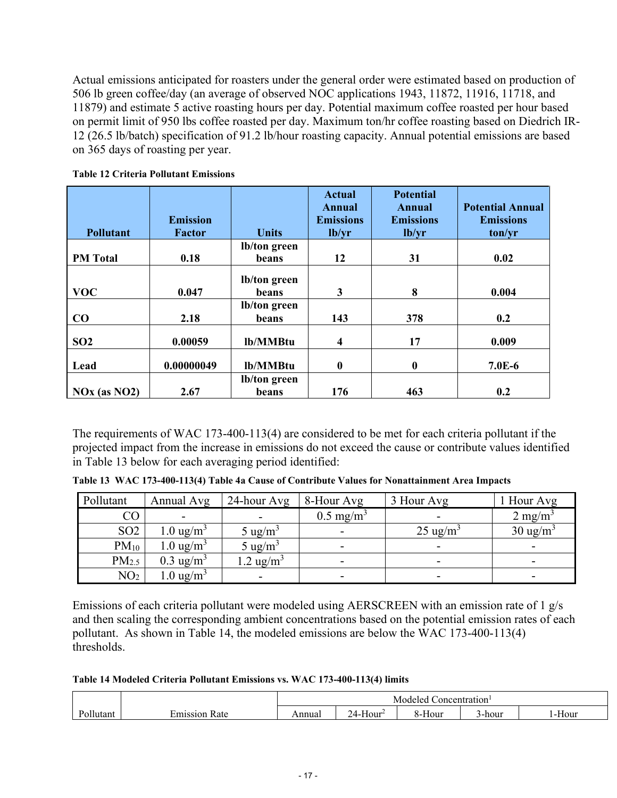Actual emissions anticipated for roasters under the general order were estimated based on production of 506 lb green coffee/day (an average of observed NOC applications 1943, 11872, 11916, 11718, and 11879) and estimate 5 active roasting hours per day. Potential maximum coffee roasted per hour based on permit limit of 950 lbs coffee roasted per day. Maximum ton/hr coffee roasting based on Diedrich IR-12 (26.5 lb/batch) specification of 91.2 lb/hour roasting capacity. Annual potential emissions are based on 365 days of roasting per year.

| <b>Pollutant</b>  | <b>Emission</b><br>Factor | <b>Units</b>          | <b>Actual</b><br><b>Annual</b><br><b>Emissions</b><br>lb/yr | <b>Potential</b><br><b>Annual</b><br><b>Emissions</b><br>lb/yr | <b>Potential Annual</b><br><b>Emissions</b><br>ton/yr |
|-------------------|---------------------------|-----------------------|-------------------------------------------------------------|----------------------------------------------------------------|-------------------------------------------------------|
|                   |                           | lb/ton green          |                                                             |                                                                |                                                       |
| <b>PM</b> Total   | 0.18                      | beans                 | 12                                                          | 31                                                             | 0.02                                                  |
| <b>VOC</b>        | 0.047                     | lb/ton green<br>beans | 3                                                           | 8                                                              | 0.004                                                 |
| CO                | 2.18                      | lb/ton green<br>beans | 143                                                         | 378                                                            | 0.2                                                   |
| SO <sub>2</sub>   | 0.00059                   | lb/MMBtu              | $\overline{\mathbf{4}}$                                     | 17                                                             | 0.009                                                 |
| Lead              | 0.00000049                | lb/MMBtu              | $\bf{0}$                                                    | $\bf{0}$                                                       | $7.0E-6$                                              |
|                   |                           | lb/ton green          |                                                             |                                                                |                                                       |
| $NOx$ (as $NO2$ ) | 2.67                      | beans                 | 176                                                         | 463                                                            | 0.2                                                   |

<span id="page-16-0"></span>**Table 12 Criteria Pollutant Emissions**

The requirements of WAC 173-400-113(4) are considered to be met for each criteria pollutant if the projected impact from the increase in emissions do not exceed the cause or contribute values identified in [Table 13](#page-16-1) below for each averaging period identified:

<span id="page-16-1"></span>

| Pollutant         | Annual Avg           | 24-hour Avg          | 8-Hour Avg           | 3 Hour Avg               | 1 Hour Avg               |
|-------------------|----------------------|----------------------|----------------------|--------------------------|--------------------------|
| CO                |                      |                      | $0.5 \text{ mg/m}^3$ |                          | $2 \text{ mg/m}^3$       |
| SO <sub>2</sub>   | $1.0 \text{ ug/m}^3$ | 5 ug/m <sup>3</sup>  |                      | $25 \text{ ug/m}^3$      | $30 \text{ ug/m}^3$      |
| $PM_{10}$         | $1.0 \text{ ug/m}^3$ | 5 ug/m <sup>3</sup>  |                      | $\overline{\phantom{0}}$ | $\overline{\phantom{a}}$ |
| PM <sub>2.5</sub> | $0.3 \text{ ug/m}^3$ | .2 ug/m <sup>3</sup> |                      | $\overline{\phantom{0}}$ | -                        |
| NO <sub>2</sub>   | $1.0 \text{ ug/m}^3$ |                      |                      |                          | $\overline{\phantom{a}}$ |

Emissions of each criteria pollutant were modeled using AERSCREEN with an emission rate of 1 g/s and then scaling the corresponding ambient concentrations based on the potential emission rates of each pollutant. As shown in [Table 14,](#page-16-2) the modeled emissions are below the WAC 173-400-113(4) thresholds.

<span id="page-16-2"></span>**Table 14 Modeled Criteria Pollutant Emissions vs. WAC 173-400-113(4) limits**

|                        |                      | Modelec<br>oncentration |                            |                           |                  |                         |
|------------------------|----------------------|-------------------------|----------------------------|---------------------------|------------------|-------------------------|
| $\mathbf{r}$<br>'utani | Ð<br>Kate<br>118810P | `nnuai<br>ЭL.           | $-$<br>∕†our<br><u>. .</u> | $\sim$<br>.Hour<br>$\sim$ | $\sim$<br>,-hour | $\sim$ $\sim$<br>1-Hour |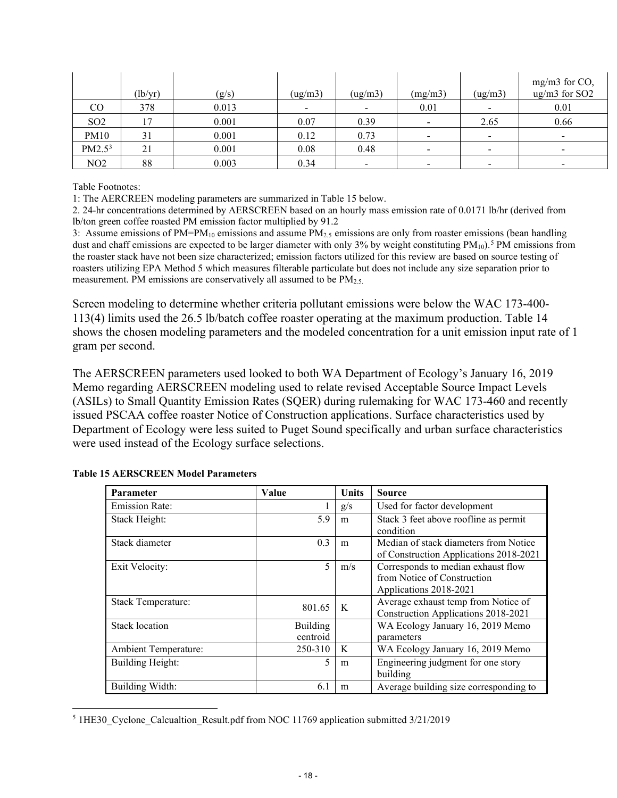|                 | (lb/yr) | (g/s) | (ug/m3)                  | (ug/m3) | (mg/m3) | (ug/m3)                  | mg/m3 for CO,<br>ug/m3 for SO2 |
|-----------------|---------|-------|--------------------------|---------|---------|--------------------------|--------------------------------|
| CO              | 378     | 0.013 | $\overline{\phantom{0}}$ |         | 0.01    | -                        | 0.01                           |
| SO <sub>2</sub> | 17      | 0.001 | 0.07                     | 0.39    |         | 2.65                     | 0.66                           |
| <b>PM10</b>     | 31      | 0.001 | 0.12                     | 0.73    |         | ۰                        | $\,$                           |
| $PM2.5^3$       | 21      | 0.001 | 0.08                     | 0.48    |         | ۰                        |                                |
| NO <sub>2</sub> | 88      | 0.003 | 0.34                     |         |         | $\overline{\phantom{a}}$ | $\,$                           |

Table Footnotes:

1: The AERCREEN modeling parameters are summarized in [Table 15](#page-17-0) below.

2. 24-hr concentrations determined by AERSCREEN based on an hourly mass emission rate of 0.0171 lb/hr (derived from lb/ton green coffee roasted PM emission factor multiplied by 91.2

3: Assume emissions of  $PM=PM_{10}$  emissions and assume  $PM_{2.5}$  emissions are only from roaster emissions (bean handling dust and chaff emissions are expected to be larger diameter with only 3% by weight constituting  $PM_{10}$ .<sup>[5](#page-17-1)</sup> PM emissions from the roaster stack have not been size characterized; emission factors utilized for this review are based on source testing of roasters utilizing EPA Method 5 which measures filterable particulate but does not include any size separation prior to measurement. PM emissions are conservatively all assumed to be  $PM_{2.5}$ .

Screen modeling to determine whether criteria pollutant emissions were below the WAC 173-400- 113(4) limits used the 26.5 lb/batch coffee roaster operating at the maximum production. [Table 14](#page-16-2) shows the chosen modeling parameters and the modeled concentration for a unit emission input rate of 1 gram per second.

The AERSCREEN parameters used looked to both WA Department of Ecology's January 16, 2019 Memo regarding AERSCREEN modeling used to relate revised Acceptable Source Impact Levels (ASILs) to Small Quantity Emission Rates (SQER) during rulemaking for WAC 173-460 and recently issued PSCAA coffee roaster Notice of Construction applications. Surface characteristics used by Department of Ecology were less suited to Puget Sound specifically and urban surface characteristics were used instead of the Ecology surface selections.

| Parameter               | Value                | <b>Units</b> | <b>Source</b>                                                                               |
|-------------------------|----------------------|--------------|---------------------------------------------------------------------------------------------|
| <b>Emission Rate:</b>   |                      | g/s          | Used for factor development                                                                 |
| Stack Height:           | 5.9                  | m            | Stack 3 feet above roofline as permit<br>condition                                          |
| Stack diameter          | 0.3                  | m            | Median of stack diameters from Notice<br>of Construction Applications 2018-2021             |
| Exit Velocity:          | $\varsigma$          | m/s          | Corresponds to median exhaust flow<br>from Notice of Construction<br>Applications 2018-2021 |
| Stack Temperature:      | 801.65               | K            | Average exhaust temp from Notice of<br>Construction Applications 2018-2021                  |
| Stack location          | Building<br>centroid |              | WA Ecology January 16, 2019 Memo<br>parameters                                              |
| Ambient Temperature:    | 250-310              | K            | WA Ecology January 16, 2019 Memo                                                            |
| <b>Building Height:</b> | 5                    | m            | Engineering judgment for one story<br>building                                              |
| Building Width:         | 6.1                  | m            | Average building size corresponding to                                                      |

<span id="page-17-0"></span>

| <b>Table 15 AERSCREEN Model Parameters</b> |
|--------------------------------------------|
|--------------------------------------------|

<span id="page-17-1"></span><sup>&</sup>lt;sup>5</sup> 1HE30 Cyclone Calcualtion Result.pdf from NOC 11769 application submitted 3/21/2019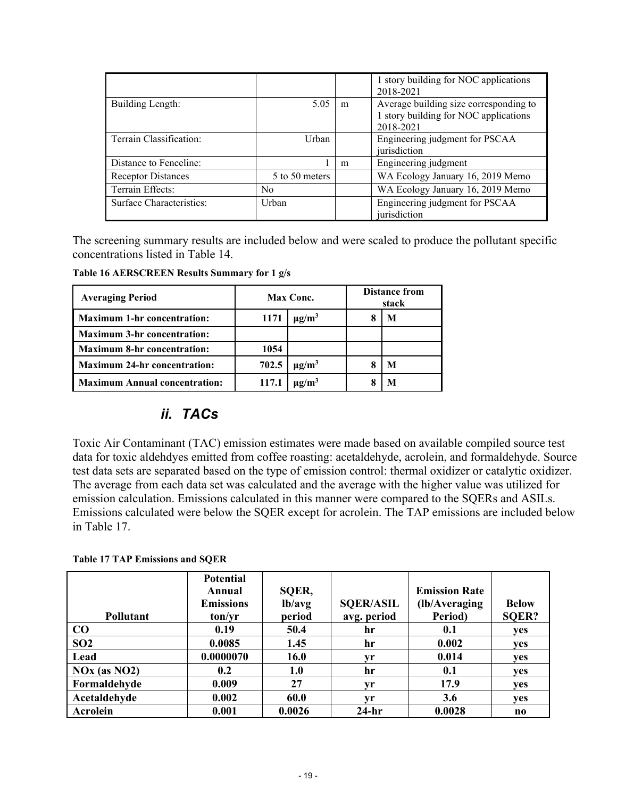|                           |                |   | 1 story building for NOC applications<br>2018-2021                                           |
|---------------------------|----------------|---|----------------------------------------------------------------------------------------------|
| Building Length:          | 5.05           | m | Average building size corresponding to<br>1 story building for NOC applications<br>2018-2021 |
| Terrain Classification:   | Urban          |   | Engineering judgment for PSCAA<br>jurisdiction                                               |
| Distance to Fenceline:    |                | m | Engineering judgment                                                                         |
| <b>Receptor Distances</b> | 5 to 50 meters |   | WA Ecology January 16, 2019 Memo                                                             |
| Terrain Effects:          | N <sub>0</sub> |   | WA Ecology January 16, 2019 Memo                                                             |
| Surface Characteristics:  | Urban          |   | Engineering judgment for PSCAA<br>jurisdiction                                               |

The screening summary results are included below and were scaled to produce the pollutant specific concentrations listed in [Table 14.](#page-16-2)

**Table 16 AERSCREEN Results Summary for 1 g/s**

| <b>Averaging Period</b>              | Max Conc. |                        | Distance from<br>stack |  |
|--------------------------------------|-----------|------------------------|------------------------|--|
| <b>Maximum 1-hr concentration:</b>   | 1171      | $\mu$ g/m <sup>3</sup> | M                      |  |
| <b>Maximum 3-hr concentration:</b>   |           |                        |                        |  |
| <b>Maximum 8-hr concentration:</b>   | 1054      |                        |                        |  |
| <b>Maximum 24-hr concentration:</b>  | 702.5     | $\mu$ g/m <sup>3</sup> | M                      |  |
| <b>Maximum Annual concentration:</b> | 117.1     | $\mu$ g/m <sup>3</sup> | IV.                    |  |

### *ii. TACs*

Toxic Air Contaminant (TAC) emission estimates were made based on available compiled source test data for toxic aldehdyes emitted from coffee roasting: acetaldehyde, acrolein, and formaldehyde. Source test data sets are separated based on the type of emission control: thermal oxidizer or catalytic oxidizer. The average from each data set was calculated and the average with the higher value was utilized for emission calculation. Emissions calculated in this manner were compared to the SQERs and ASILs. Emissions calculated were below the SQER except for acrolein. The TAP emissions are included below in [Table 17.](#page-18-0)

<span id="page-18-0"></span>**Table 17 TAP Emissions and SQER**

|                   | <b>Potential</b> |        |                  |                      |              |
|-------------------|------------------|--------|------------------|----------------------|--------------|
|                   | Annual           | SQER,  |                  | <b>Emission Rate</b> |              |
|                   | <b>Emissions</b> | lb/avg | <b>SQER/ASIL</b> | (lb/Averaging        | <b>Below</b> |
| <b>Pollutant</b>  | ton/yr           | period | avg. period      | Period)              | SQER?        |
| $\bf CO$          | 0.19             | 50.4   | hr               | 0.1                  | yes          |
| SO <sub>2</sub>   | 0.0085           | 1.45   | hr               | 0.002                | yes          |
| Lead              | 0.0000070        | 16.0   | vr               | 0.014                | yes          |
| $NOx$ (as $NO2$ ) | 0.2              | 1.0    | hr               | 0.1                  | <b>ves</b>   |
| Formaldehyde      | 0.009            | 27     | yr               | 17.9                 | yes          |
| Acetaldehyde      | 0.002            | 60.0   | vr               | 3.6                  | yes          |
| Acrolein          | 0.001            | 0.0026 | $24-hr$          | 0.0028               | $\bf{no}$    |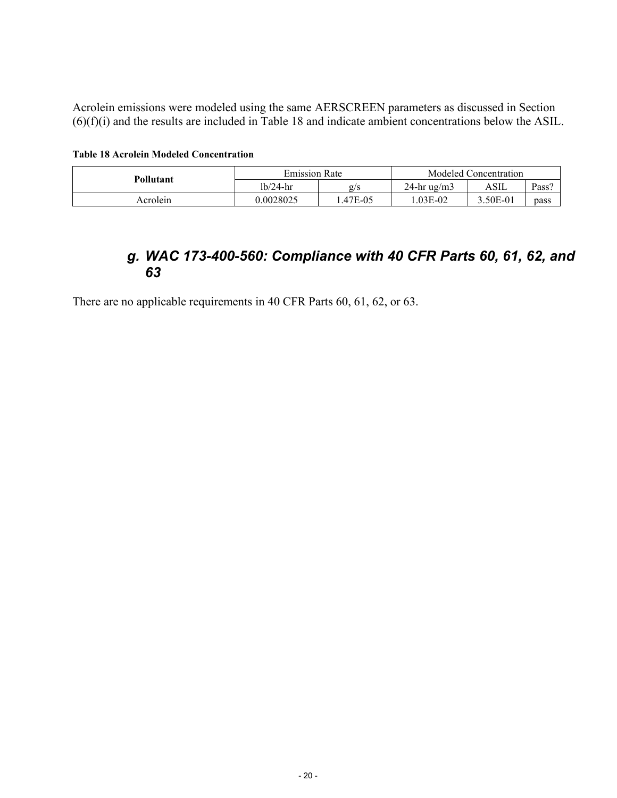Acrolein emissions were modeled using the same AERSCREEN parameters as discussed in Section [\(6\)](#page-3-0)[\(f\)](#page-15-0)[\(i\)](#page-15-1) and the results are included in [Table 18](#page-19-0) and indicate ambient concentrations below the ASIL.

<span id="page-19-0"></span>**Table 18 Acrolein Modeled Concentration**

| Pollutant | <b>Emission Rate</b> |                           | Modeled Concentration |            |       |  |
|-----------|----------------------|---------------------------|-----------------------|------------|-------|--|
|           | $lb/24-hr$           | $\mathcal{Q}/\mathcal{S}$ | 24-hr $\frac{ug}{m3}$ | ASIL       | Pass? |  |
| Acrolein  | 0.0028025            | .47E-05                   | .03E-02               | $3.50E-01$ | pass  |  |

## *g. WAC 173-400-560: Compliance with 40 CFR Parts 60, 61, 62, and 63*

There are no applicable requirements in 40 CFR Parts 60, 61, 62, or 63.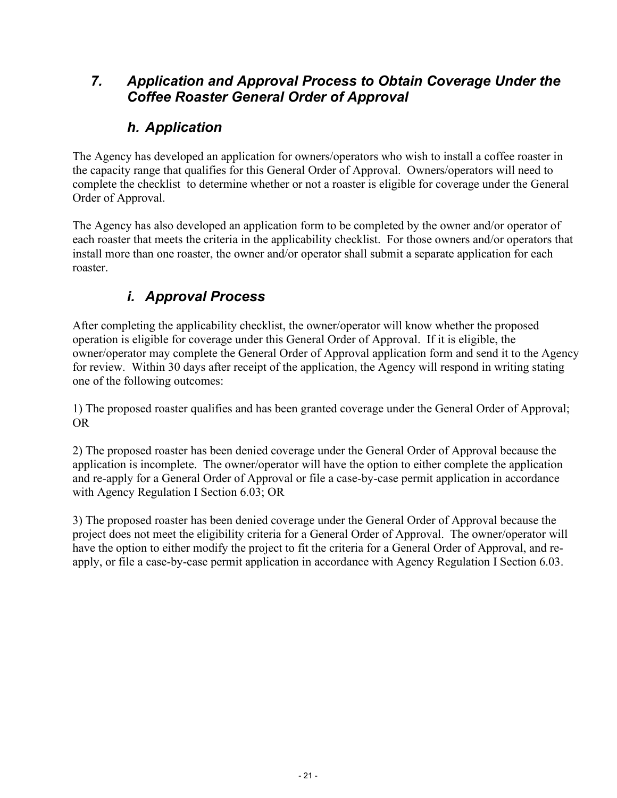### *7. Application and Approval Process to Obtain Coverage Under the Coffee Roaster General Order of Approval*

## *h. Application*

The Agency has developed an application for owners/operators who wish to install a coffee roaster in the capacity range that qualifies for this General Order of Approval. Owners/operators will need to complete the checklist to determine whether or not a roaster is eligible for coverage under the General Order of Approval.

The Agency has also developed an application form to be completed by the owner and/or operator of each roaster that meets the criteria in the applicability checklist. For those owners and/or operators that install more than one roaster, the owner and/or operator shall submit a separate application for each roaster.

# *i. Approval Process*

After completing the applicability checklist, the owner/operator will know whether the proposed operation is eligible for coverage under this General Order of Approval. If it is eligible, the owner/operator may complete the General Order of Approval application form and send it to the Agency for review. Within 30 days after receipt of the application, the Agency will respond in writing stating one of the following outcomes:

1) The proposed roaster qualifies and has been granted coverage under the General Order of Approval; OR

2) The proposed roaster has been denied coverage under the General Order of Approval because the application is incomplete. The owner/operator will have the option to either complete the application and re-apply for a General Order of Approval or file a case-by-case permit application in accordance with Agency Regulation I Section 6.03; OR

<span id="page-20-0"></span>3) The proposed roaster has been denied coverage under the General Order of Approval because the project does not meet the eligibility criteria for a General Order of Approval. The owner/operator will have the option to either modify the project to fit the criteria for a General Order of Approval, and reapply, or file a case-by-case permit application in accordance with Agency Regulation I Section 6.03.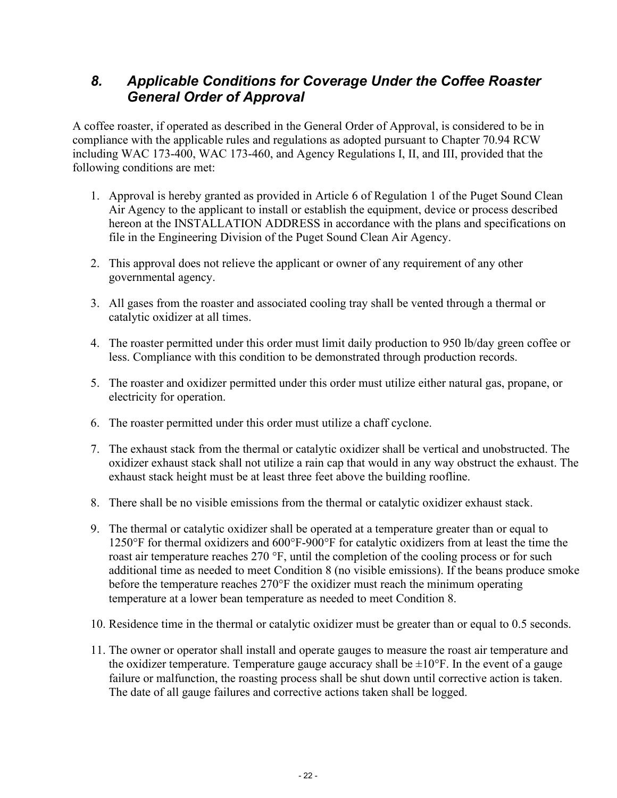### *8. Applicable Conditions for Coverage Under the Coffee Roaster General Order of Approval*

A coffee roaster, if operated as described in the General Order of Approval, is considered to be in compliance with the applicable rules and regulations as adopted pursuant to Chapter 70.94 RCW including WAC 173-400, WAC 173-460, and Agency Regulations I, II, and III, provided that the following conditions are met:

- 1. Approval is hereby granted as provided in Article 6 of Regulation 1 of the Puget Sound Clean Air Agency to the applicant to install or establish the equipment, device or process described hereon at the INSTALLATION ADDRESS in accordance with the plans and specifications on file in the Engineering Division of the Puget Sound Clean Air Agency.
- 2. This approval does not relieve the applicant or owner of any requirement of any other governmental agency.
- 3. All gases from the roaster and associated cooling tray shall be vented through a thermal or catalytic oxidizer at all times.
- 4. The roaster permitted under this order must limit daily production to 950 lb/day green coffee or less. Compliance with this condition to be demonstrated through production records.
- 5. The roaster and oxidizer permitted under this order must utilize either natural gas, propane, or electricity for operation.
- 6. The roaster permitted under this order must utilize a chaff cyclone.
- 7. The exhaust stack from the thermal or catalytic oxidizer shall be vertical and unobstructed. The oxidizer exhaust stack shall not utilize a rain cap that would in any way obstruct the exhaust. The exhaust stack height must be at least three feet above the building roofline.
- <span id="page-21-0"></span>8. There shall be no visible emissions from the thermal or catalytic oxidizer exhaust stack.
- <span id="page-21-1"></span>9. The thermal or catalytic oxidizer shall be operated at a temperature greater than or equal to 1250°F for thermal oxidizers and 600°F-900°F for catalytic oxidizers from at least the time the roast air temperature reaches 270 °F, until the completion of the cooling process or for such additional time as needed to meet Condition [8](#page-21-0) (no visible emissions). If the beans produce smoke before the temperature reaches 270°F the oxidizer must reach the minimum operating temperature at a lower bean temperature as needed to meet Condition [8.](#page-21-0)
- 10. Residence time in the thermal or catalytic oxidizer must be greater than or equal to 0.5 seconds.
- 11. The owner or operator shall install and operate gauges to measure the roast air temperature and the oxidizer temperature. Temperature gauge accuracy shall be  $\pm 10^{\circ}$ F. In the event of a gauge failure or malfunction, the roasting process shall be shut down until corrective action is taken. The date of all gauge failures and corrective actions taken shall be logged.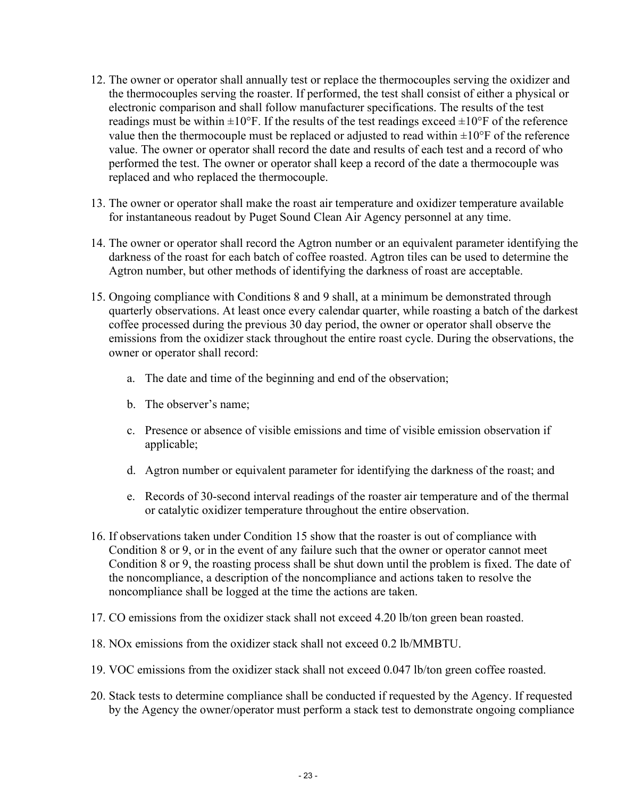- 12. The owner or operator shall annually test or replace the thermocouples serving the oxidizer and the thermocouples serving the roaster. If performed, the test shall consist of either a physical or electronic comparison and shall follow manufacturer specifications. The results of the test readings must be within  $\pm 10^{\circ}$ F. If the results of the test readings exceed  $\pm 10^{\circ}$ F of the reference value then the thermocouple must be replaced or adjusted to read within  $\pm 10^{\circ}$ F of the reference value. The owner or operator shall record the date and results of each test and a record of who performed the test. The owner or operator shall keep a record of the date a thermocouple was replaced and who replaced the thermocouple.
- 13. The owner or operator shall make the roast air temperature and oxidizer temperature available for instantaneous readout by Puget Sound Clean Air Agency personnel at any time.
- 14. The owner or operator shall record the Agtron number or an equivalent parameter identifying the darkness of the roast for each batch of coffee roasted. Agtron tiles can be used to determine the Agtron number, but other methods of identifying the darkness of roast are acceptable.
- <span id="page-22-0"></span>15. Ongoing compliance with Conditions [8](#page-21-0) and [9](#page-21-1) shall, at a minimum be demonstrated through quarterly observations. At least once every calendar quarter, while roasting a batch of the darkest coffee processed during the previous 30 day period, the owner or operator shall observe the emissions from the oxidizer stack throughout the entire roast cycle. During the observations, the owner or operator shall record:
	- a. The date and time of the beginning and end of the observation;
	- b. The observer's name;
	- c. Presence or absence of visible emissions and time of visible emission observation if applicable;
	- d. Agtron number or equivalent parameter for identifying the darkness of the roast; and
	- e. Records of 30-second interval readings of the roaster air temperature and of the thermal or catalytic oxidizer temperature throughout the entire observation.
- 16. If observations taken under Condition [15](#page-22-0) show that the roaster is out of compliance with Condition [8](#page-21-0) or [9,](#page-21-1) or in the event of any failure such that the owner or operator cannot meet Condition [8](#page-21-0) or [9,](#page-21-1) the roasting process shall be shut down until the problem is fixed. The date of the noncompliance, a description of the noncompliance and actions taken to resolve the noncompliance shall be logged at the time the actions are taken.
- <span id="page-22-1"></span>17. CO emissions from the oxidizer stack shall not exceed 4.20 lb/ton green bean roasted.
- <span id="page-22-2"></span>18. NOx emissions from the oxidizer stack shall not exceed 0.2 lb/MMBTU.
- <span id="page-22-3"></span>19. VOC emissions from the oxidizer stack shall not exceed 0.047 lb/ton green coffee roasted.
- 20. Stack tests to determine compliance shall be conducted if requested by the Agency. If requested by the Agency the owner/operator must perform a stack test to demonstrate ongoing compliance